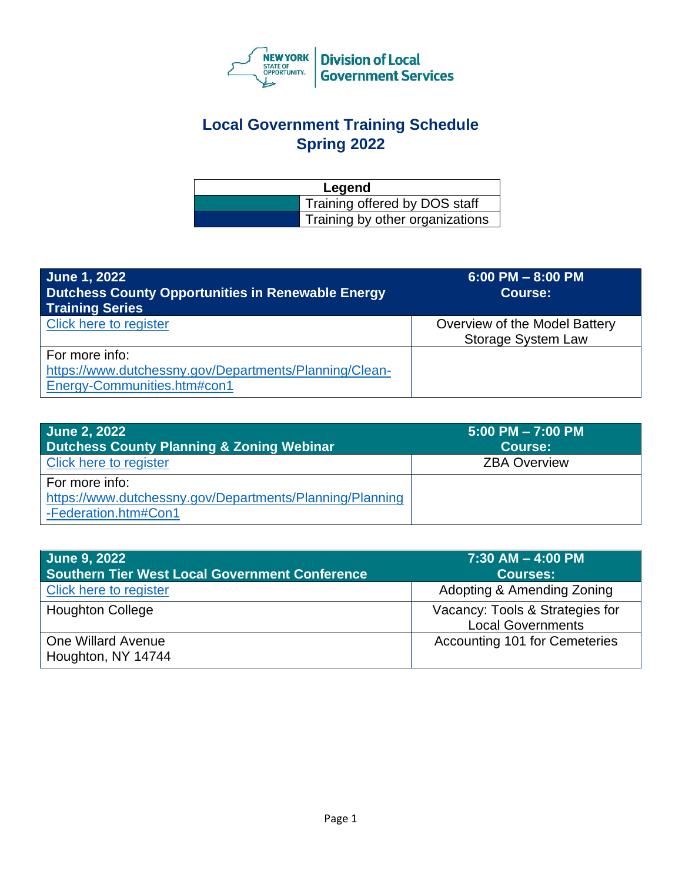

## **Local Government Training Schedule Spring 2022**

| Legend |                                 |
|--------|---------------------------------|
|        | Training offered by DOS staff   |
|        | Training by other organizations |

| <b>June 1, 2022</b><br><b>Dutchess County Opportunities in Renewable Energy</b><br><b>Training Series</b> | $6:00$ PM $- 8:00$ PM<br>Course:                           |
|-----------------------------------------------------------------------------------------------------------|------------------------------------------------------------|
| Click here to register                                                                                    | Overview of the Model Battery<br><b>Storage System Law</b> |
| For more info:<br>https://www.dutchessny.gov/Departments/Planning/Clean-<br>Energy-Communities.htm#con1   |                                                            |

| June 2, 2022<br>Dutchess County Planning & Zoning Webinar                                          | $5:00$ PM $- 7:00$ PM<br><b>Course:</b> |
|----------------------------------------------------------------------------------------------------|-----------------------------------------|
| <b>Click here to register</b>                                                                      | <b>ZBA Overview</b>                     |
| For more info:<br>https://www.dutchessny.gov/Departments/Planning/Planning<br>-Federation.htm#Con1 |                                         |

| <b>June 9, 2022</b><br><b>Southern Tier West Local Government Conference</b> | $7:30$ AM $-$ 4:00 PM<br><b>Courses:</b>                    |
|------------------------------------------------------------------------------|-------------------------------------------------------------|
| Click here to register                                                       | Adopting & Amending Zoning                                  |
| <b>Houghton College</b>                                                      | Vacancy: Tools & Strategies for<br><b>Local Governments</b> |
| <b>One Willard Avenue</b><br>Houghton, NY 14744                              | Accounting 101 for Cemeteries                               |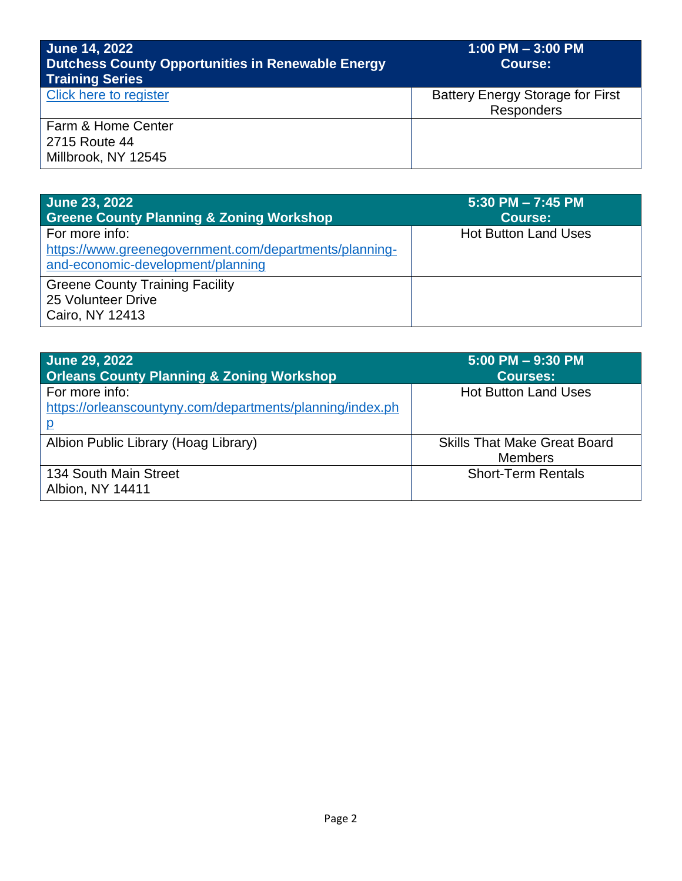| <b>June 14, 2022</b><br><b>Dutchess County Opportunities in Renewable Energy</b><br><b>Training Series</b> | $1:00$ PM $-3:00$ PM<br><b>Course:</b>                       |
|------------------------------------------------------------------------------------------------------------|--------------------------------------------------------------|
| Click here to register                                                                                     | <b>Battery Energy Storage for First</b><br><b>Responders</b> |
| Farm & Home Center<br>2715 Route 44<br>Millbrook, NY 12545                                                 |                                                              |

| <b>June 23, 2022</b><br><b>Greene County Planning &amp; Zoning Workshop</b>                                   | 5:30 PM - 7:45 PM<br><b>Course:</b> |
|---------------------------------------------------------------------------------------------------------------|-------------------------------------|
| For more info:<br>https://www.greenegovernment.com/departments/planning-<br>and-economic-development/planning | <b>Hot Button Land Uses</b>         |
| <b>Greene County Training Facility</b><br>25 Volunteer Drive<br>Cairo, NY 12413                               |                                     |

| June 29, 2022<br><b>Orleans County Planning &amp; Zoning Workshop</b>       | 5:00 PM - 9:30 PM<br><b>Courses:</b>                  |
|-----------------------------------------------------------------------------|-------------------------------------------------------|
| For more info:<br>https://orleanscountyny.com/departments/planning/index.ph | <b>Hot Button Land Uses</b>                           |
| Albion Public Library (Hoag Library)                                        | <b>Skills That Make Great Board</b><br><b>Members</b> |
| 134 South Main Street<br>Albion, NY 14411                                   | <b>Short-Term Rentals</b>                             |